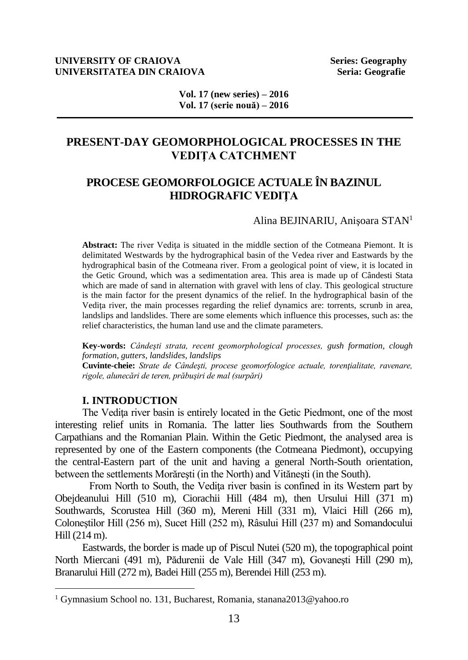#### **UNIVERSITY OF CRAIOVA Series: Geography UNIVERSITATEA DIN CRAIOVA Seria: Geografie Seria: Geografie**

**Vol. 17 (new series) – 2016 Vol. 17 (serie nouă) – 2016**

# **PRESENT-DAY GEOMORPHOLOGICAL PROCESSES IN THE VEDIŢA CATCHMENT**

# **PROCESE GEOMORFOLOGICE ACTUALE ÎN BAZINUL HIDROGRAFIC VEDIŢA**

#### Alina BEJINARIU, Anişoara STAN<sup>1</sup>

Abstract: The river Vedita is situated in the middle section of the Cotmeana Piemont. It is delimitated Westwards by the hydrographical basin of the Vedea river and Eastwards by the hydrographical basin of the Cotmeana river. From a geological point of view, it is located in the Getic Ground, which was a sedimentation area. This area is made up of Cândesti Stata which are made of sand in alternation with gravel with lens of clay. This geological structure is the main factor for the present dynamics of the relief. In the hydrographical basin of the Vedita river, the main processes regarding the relief dynamics are: torrents, scrunb in area, landslips and landslides. There are some elements which influence this processes, such as: the relief characteristics, the human land use and the climate parameters.

**Key-words:** *Cândeşti strata, recent geomorphological processes, gush formation, clough formation, gutters, landslides, landslips*

**Cuvinte-cheie:** *Strate de Cândeşti, procese geomorfologice actuale, torenţialitate, ravenare, rigole, alunecări de teren, prăbuşiri de mal (surpări)*

### **I. INTRODUCTION**

 $\overline{a}$ 

The Vedita river basin is entirely located in the Getic Piedmont, one of the most interesting relief units in Romania. The latter lies Southwards from the Southern Carpathians and the Romanian Plain. Within the Getic Piedmont, the analysed area is represented by one of the Eastern components (the Cotmeana Piedmont), occupying the central-Eastern part of the unit and having a general North-South orientation, between the settlements Morăreşti (in the North) and Vităneşti (in the South).

From North to South, the Vedița river basin is confined in its Western part by Obejdeanului Hill (510 m), Ciorachii Hill (484 m), then Ursului Hill (371 m) Southwards, Scorustea Hill (360 m), Mereni Hill (331 m), Vlaici Hill (266 m), Coloneştilor Hill (256 m), Sucet Hill (252 m), Râsului Hill (237 m) and Somandocului Hill (214 m).

Eastwards, the border is made up of Piscul Nutei (520 m), the topographical point North Miercani (491 m), Pădurenii de Vale Hill (347 m), Govaneşti Hill (290 m), Branarului Hill (272 m), Badei Hill (255 m), Berendei Hill (253 m).

<sup>1</sup> Gymnasium School no. 131, Bucharest, Romania, stanana2013@yahoo.ro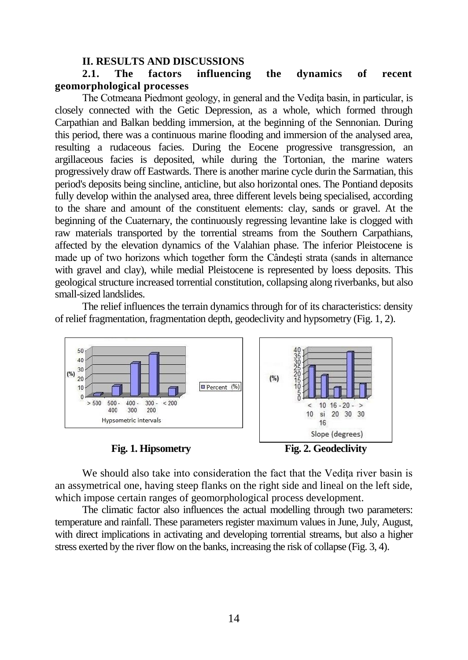#### **II. RESULTS AND DISCUSSIONS**

# **2.1. The factors influencing the dynamics of recent geomorphological processes**

The Cotmeana Piedmont geology, in general and the Vediţa basin, in particular, is closely connected with the Getic Depression, as a whole, which formed through Carpathian and Balkan bedding immersion, at the beginning of the Sennonian. During this period, there was a continuous marine flooding and immersion of the analysed area, resulting a rudaceous facies. During the Eocene progressive transgression, an argillaceous facies is deposited, while during the Tortonian, the marine waters progressively draw off Eastwards. There is another marine cycle durin the Sarmatian, this period's deposits being sincline, anticline, but also horizontal ones. The Pontiand deposits fully develop within the analysed area, three different levels being specialised, according to the share and amount of the constituent elements: clay, sands or gravel. At the beginning of the Cuaternary, the continuously regressing levantine lake is clogged with raw materials transported by the torrential streams from the Southern Carpathians, affected by the elevation dynamics of the Valahian phase. The inferior Pleistocene is made up of two horizons which together form the Cândeşti strata (sands in alternance with gravel and clay), while medial Pleistocene is represented by loess deposits. This geological structure increased torrential constitution, collapsing along riverbanks, but also small-sized landslides.

The relief influences the terrain dynamics through for of its characteristics: density of relief fragmentation, fragmentation depth, geodeclivity and hypsometry (Fig. 1, 2).



We should also take into consideration the fact that the Vedița river basin is an assymetrical one, having steep flanks on the right side and lineal on the left side, which impose certain ranges of geomorphological process development.

The climatic factor also influences the actual modelling through two parameters: temperature and rainfall. These parameters register maximum values in June, July, August, with direct implications in activating and developing torrential streams, but also a higher stress exerted by the river flow on the banks, increasing the risk of collapse (Fig. 3, 4).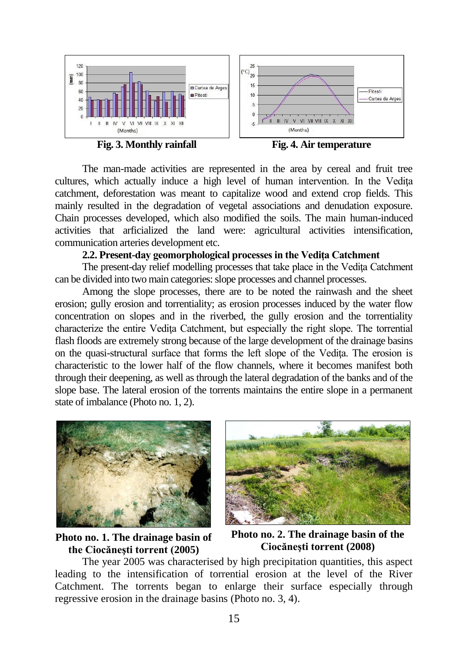

The man-made activities are represented in the area by cereal and fruit tree cultures, which actually induce a high level of human intervention. In the Vedita catchment, deforestation was meant to capitalize wood and extend crop fields. This mainly resulted in the degradation of vegetal associations and denudation exposure. Chain processes developed, which also modified the soils. The main human-induced activities that arficialized the land were: agricultural activities intensification, communication arteries development etc.

## **2.2. Present-day geomorphological processes in the Vediţa Catchment**

The present-day relief modelling processes that take place in the Vedita Catchment can be divided into two main categories: slope processes and channel processes.

Among the slope processes, there are to be noted the rainwash and the sheet erosion; gully erosion and torrentiality; as erosion processes induced by the water flow concentration on slopes and in the riverbed, the gully erosion and the torrentiality characterize the entire Vediţa Catchment, but especially the right slope. The torrential flash floods are extremely strong because of the large development of the drainage basins on the quasi-structural surface that forms the left slope of the Vedita. The erosion is characteristic to the lower half of the flow channels, where it becomes manifest both through their deepening, as well as through the lateral degradation of the banks and of the slope base. The lateral erosion of the torrents maintains the entire slope in a permanent state of imbalance (Photo no. 1, 2).





**Photo no. 1. The drainage basin of the Ciocăneşti torrent (2005)**

**Photo no. 2. The drainage basin of the Ciocăneşti torrent (2008)**

The year 2005 was characterised by high precipitation quantities, this aspect leading to the intensification of torrential erosion at the level of the River Catchment. The torrents began to enlarge their surface especially through regressive erosion in the drainage basins (Photo no. 3, 4).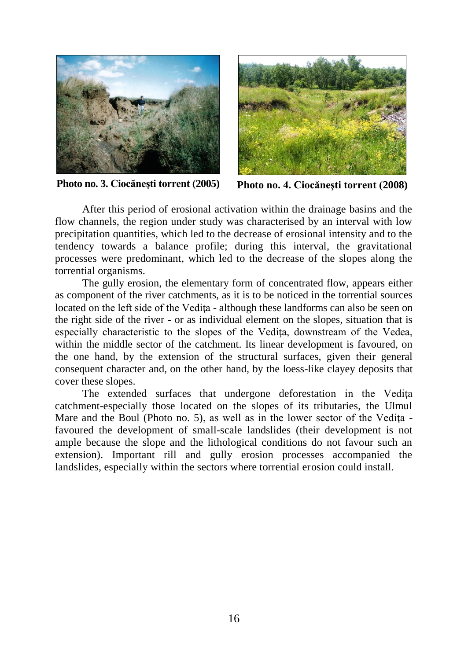

**Photo no. 3. Ciocăneşti torrent (2005) Photo no. 4. Ciocăneşti torrent (2008)**



After this period of erosional activation within the drainage basins and the flow channels, the region under study was characterised by an interval with low precipitation quantities, which led to the decrease of erosional intensity and to the tendency towards a balance profile; during this interval, the gravitational processes were predominant, which led to the decrease of the slopes along the torrential organisms.

The gully erosion, the elementary form of concentrated flow, appears either as component of the river catchments, as it is to be noticed in the torrential sources located on the left side of the Vedita - although these landforms can also be seen on the right side of the river - or as individual element on the slopes, situation that is especially characteristic to the slopes of the Vedița, downstream of the Vedea, within the middle sector of the catchment. Its linear development is favoured, on the one hand, by the extension of the structural surfaces, given their general consequent character and, on the other hand, by the loess-like clayey deposits that cover these slopes.

The extended surfaces that undergone deforestation in the Vedita catchment-especially those located on the slopes of its tributaries, the Ulmul Mare and the Boul (Photo no. 5), as well as in the lower sector of the Vedita favoured the development of small-scale landslides (their development is not ample because the slope and the lithological conditions do not favour such an extension). Important rill and gully erosion processes accompanied the landslides, especially within the sectors where torrential erosion could install.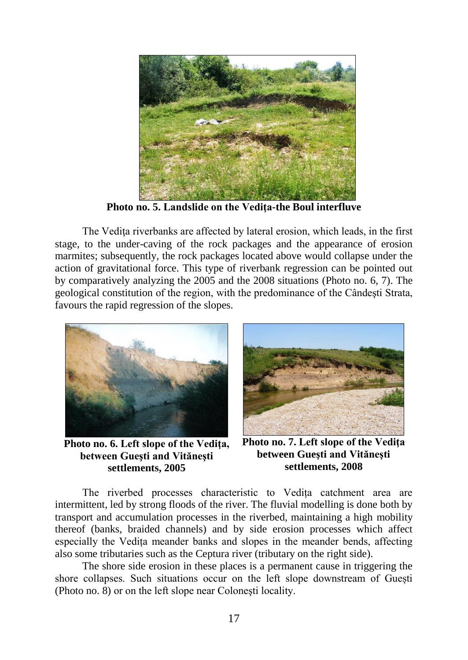

**Photo no. 5. Landslide on the Vediţa-the Boul interfluve**

The Vedita riverbanks are affected by lateral erosion, which leads, in the first stage, to the under-caving of the rock packages and the appearance of erosion marmites; subsequently, the rock packages located above would collapse under the action of gravitational force. This type of riverbank regression can be pointed out by comparatively analyzing the 2005 and the 2008 situations (Photo no. 6, 7). The geological constitution of the region, with the predominance of the Cândeşti Strata, favours the rapid regression of the slopes.



**Photo no. 6. Left slope of the Vediţa, between Gueşti and Vităneşti settlements, 2005**



**Photo no. 7. Left slope of the Vediţa between Gueşti and Vităneşti settlements, 2008**

The riverbed processes characteristic to Vedița catchment area are intermittent, led by strong floods of the river. The fluvial modelling is done both by transport and accumulation processes in the riverbed, maintaining a high mobility thereof (banks, braided channels) and by side erosion processes which affect especially the Vedița meander banks and slopes in the meander bends, affecting also some tributaries such as the Ceptura river (tributary on the right side).

The shore side erosion in these places is a permanent cause in triggering the shore collapses. Such situations occur on the left slope downstream of Guești (Photo no. 8) or on the left slope near Coloneşti locality.